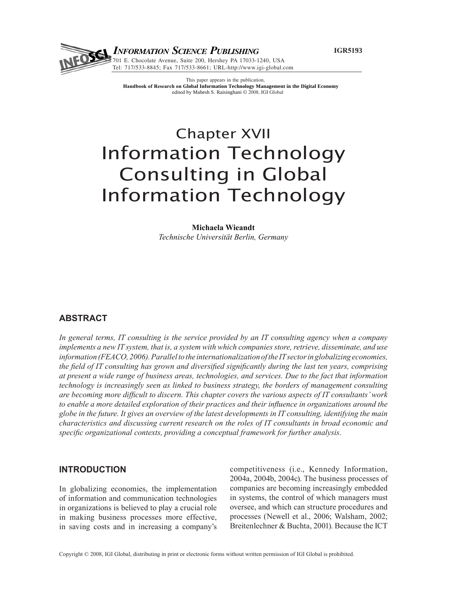

 This paper appears in the publication,  **Handbook of Research on Global Information Technology Management in the Digital Economy** edited by Mahesh S. Raisinghani © 2008, IGI Global

# Chapter XVII Information Technology Consulting in Global Information Technology

**Michaela Wieandt** *Technische Universität Berlin, Germany*

# **AbstrAct**

*In general terms, IT consulting is the service provided by an IT consulting agency when a company implements a new IT system, that is, a system with which companies store, retrieve, disseminate, and use information (FEACO, 2006). Parallel to the internationalization of the IT sector in globalizing economies, the field of IT consulting has grown and diversified significantly during the last ten years, comprising at present a wide range of business areas, technologies, and services. Due to the fact that information technology is increasingly seen as linked to business strategy, the borders of management consulting are becoming more difficult to discern. This chapter covers the various aspects of IT consultants' work to enable a more detailed exploration of their practices and their influence in organizations around the globe in the future. It gives an overview of the latest developments in IT consulting, identifying the main characteristics and discussing current research on the roles of IT consultants in broad economic and specific organizational contexts, providing a conceptual framework for further analysis.* 

## **introduction**

In globalizing economies, the implementation of information and communication technologies in organizations is believed to play a crucial role in making business processes more effective, in saving costs and in increasing a company's competitiveness (i.e., Kennedy Information, 2004a, 2004b, 2004c). The business processes of companies are becoming increasingly embedded in systems, the control of which managers must oversee, and which can structure procedures and processes (Newell et al., 2006; Walsham, 2002; Breitenlechner & Buchta, 2001). Because the ICT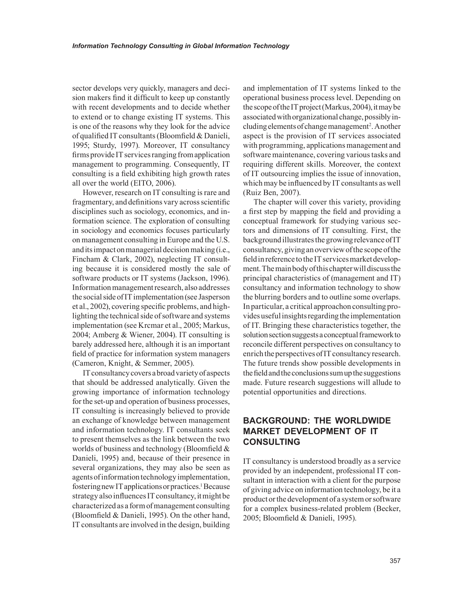sector develops very quickly, managers and decision makers find it difficult to keep up constantly with recent developments and to decide whether to extend or to change existing IT systems. This is one of the reasons why they look for the advice of qualified IT consultants (Bloomfield & Danieli, 1995; Sturdy, 1997). Moreover, IT consultancy firms provide IT services ranging from application management to programming. Consequently, IT consulting is a field exhibiting high growth rates all over the world (EITO, 2006).

However, research on IT consulting is rare and fragmentary, and definitions vary across scientific disciplines such as sociology, economics, and information science. The exploration of consulting in sociology and economics focuses particularly on management consulting in Europe and the U.S. and its impact on managerial decision making (i.e., Fincham & Clark, 2002), neglecting IT consulting because it is considered mostly the sale of software products or IT systems (Jackson, 1996). Information management research, also addresses the social side of IT implementation (see Jasperson et al., 2002), covering specific problems, and highlighting the technical side of software and systems implementation (see Krcmar et al., 2005; Markus, 2004; Amberg & Wiener, 2004). IT consulting is barely addressed here, although it is an important field of practice for information system managers (Cameron, Knight, & Semmer, 2005).

IT consultancy covers a broad variety of aspects that should be addressed analytically. Given the growing importance of information technology for the set-up and operation of business processes, IT consulting is increasingly believed to provide an exchange of knowledge between management and information technology. IT consultants seek to present themselves as the link between the two worlds of business and technology (Bloomfield & Danieli, 1995) and, because of their presence in several organizations, they may also be seen as agents of information technology implementation, fostering new IT applications or practices.<sup>1</sup> Because strategy also influences IT consultancy, it might be characterized as a form of management consulting (Bloomfield & Danieli, 1995). On the other hand, IT consultants are involved in the design, building

and implementation of IT systems linked to the operational business process level. Depending on the scope of the IT project (Markus, 2004), it may be associated with organizational change, possibly including elements of change management<sup>2</sup>. Another aspect is the provision of IT services associated with programming, applications management and software maintenance, covering various tasks and requiring different skills. Moreover, the context of IT outsourcing implies the issue of innovation, which may be influenced by IT consultants as well (Ruiz Ben, 2007).

The chapter will cover this variety, providing a first step by mapping the field and providing a conceptual framework for studying various sectors and dimensions of IT consulting. First, the background illustrates the growing relevance of IT consultancy, giving an overview of the scope of the field in reference to the IT services market development. The main body of this chapter will discuss the principal characteristics of (management and IT) consultancy and information technology to show the blurring borders and to outline some overlaps. In particular, a critical approachon consulting provides useful insights regarding the implementation of IT. Bringing these characteristics together, the solution section suggests a conceptual framework to reconcile different perspectives on consultancy to enrich the perspectives of IT consultancy research. The future trends show possible developments in the field and the conclusions sum up the suggestions made. Future research suggestions will allude to potential opportunities and directions.

## **bAckground: the worldwide mArket development of it consulting**

IT consultancy is understood broadly as a service provided by an independent, professional IT consultant in interaction with a client for the purpose of giving advice on information technology, be it a product or the development of a system or software for a complex business-related problem (Becker, 2005; Bloomfield & Danieli, 1995).